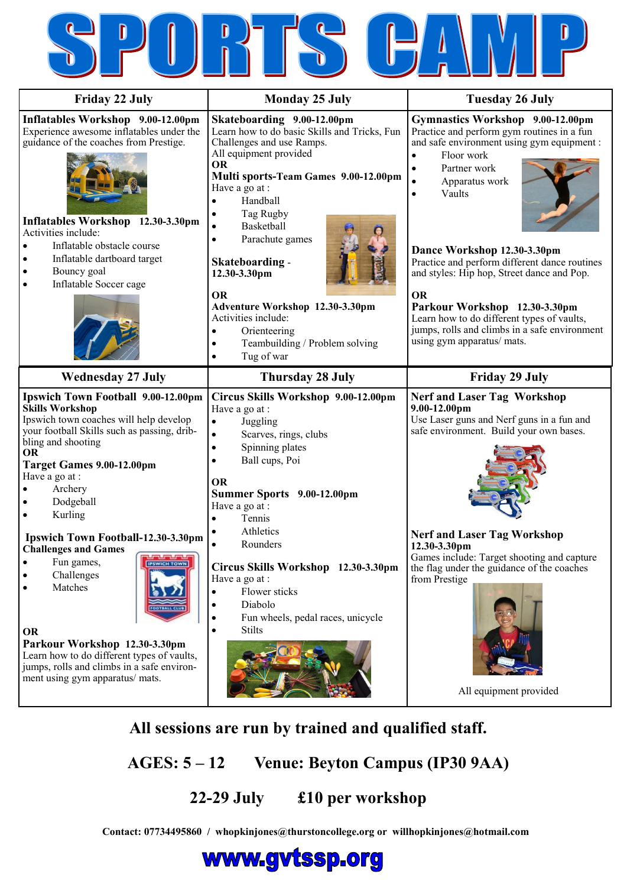| <b>Friday 22 July</b>                                                                                                                                                                                                                                                                                                                                                                                                                                                                                                                                                               | <b>Monday 25 July</b>                                                                                                                                                                                                                                                                                                                                                                                                                                                                                        | <b>Tuesday 26 July</b>                                                                                                                                                                                                                                                                                                                                                                                                                                                                                                                 |
|-------------------------------------------------------------------------------------------------------------------------------------------------------------------------------------------------------------------------------------------------------------------------------------------------------------------------------------------------------------------------------------------------------------------------------------------------------------------------------------------------------------------------------------------------------------------------------------|--------------------------------------------------------------------------------------------------------------------------------------------------------------------------------------------------------------------------------------------------------------------------------------------------------------------------------------------------------------------------------------------------------------------------------------------------------------------------------------------------------------|----------------------------------------------------------------------------------------------------------------------------------------------------------------------------------------------------------------------------------------------------------------------------------------------------------------------------------------------------------------------------------------------------------------------------------------------------------------------------------------------------------------------------------------|
| Inflatables Workshop 9.00-12.00pm<br>Experience awesome inflatables under the<br>guidance of the coaches from Prestige.<br>Inflatables Workshop 12.30-3.30pm<br>Activities include:<br>Inflatable obstacle course<br>Inflatable dartboard target<br>Bouncy goal<br>Inflatable Soccer cage                                                                                                                                                                                                                                                                                           | Skateboarding 9.00-12.00pm<br>Learn how to do basic Skills and Tricks, Fun<br>Challenges and use Ramps.<br>All equipment provided<br><b>OR</b><br>Multi sports-Team Games 9.00-12.00pm<br>Have a go at :<br>Handball<br>$\bullet$<br>Tag Rugby<br>Basketball<br>$\bullet$<br>Parachute games<br>$\bullet$<br>Skateboarding -<br>12.30-3.30pm<br><b>OR</b><br>Adventure Workshop 12.30-3.30pm<br>Activities include:<br>Orienteering<br>$\bullet$<br>Teambuilding / Problem solving<br>$\bullet$              | Gymnastics Workshop 9.00-12.00pm<br>Practice and perform gym routines in a fun<br>and safe environment using gym equipment :<br>Floor work<br>Partner work<br>$\bullet$<br>$\bullet$<br>Apparatus work<br>Vaults<br>$\bullet$<br>Dance Workshop 12.30-3.30pm<br>Practice and perform different dance routines<br>and styles: Hip hop, Street dance and Pop.<br><b>OR</b><br>Parkour Workshop 12.30-3.30pm<br>Learn how to do different types of vaults,<br>jumps, rolls and climbs in a safe environment<br>using gym apparatus/ mats. |
| <b>Wednesday 27 July</b>                                                                                                                                                                                                                                                                                                                                                                                                                                                                                                                                                            | Tug of war<br>$\bullet$<br><b>Thursday 28 July</b>                                                                                                                                                                                                                                                                                                                                                                                                                                                           | <b>Friday 29 July</b>                                                                                                                                                                                                                                                                                                                                                                                                                                                                                                                  |
| Ipswich Town Football 9.00-12.00pm<br><b>Skills Workshop</b><br>Ipswich town coaches will help develop<br>your football Skills such as passing, drib-<br>bling and shooting<br><b>OR</b><br>Target Games 9.00-12.00pm<br>Have a go at :<br>Archery<br>Dodgeball<br>Kurling<br>Ipswich Town Football-12.30-3.30pm<br><b>Challenges and Games</b><br>Fun games,<br><b>IPSWICH TOWN</b><br>Challenges<br>Matches<br>OR<br>Parkour Workshop 12.30-3.30pm<br>Learn how to do different types of vaults,<br>jumps, rolls and climbs in a safe environ-<br>ment using gym apparatus/ mats. | Circus Skills Workshop 9.00-12.00pm<br>Have a go at :<br>Juggling<br>$\bullet$<br>Scarves, rings, clubs<br>$\bullet$<br>Spinning plates<br>$\bullet$<br>Ball cups, Poi<br>$\bullet$<br><b>OR</b><br>Summer Sports 9.00-12.00pm<br>Have a go at :<br>Tennis<br>$\bullet$<br>Athletics<br>$\bullet$<br>Rounders<br>Circus Skills Workshop 12.30-3.30pm<br>Have a go at :<br>Flower sticks<br>$\bullet$<br>Diabolo<br>$\bullet$<br>Fun wheels, pedal races, unicycle<br>$\bullet$<br><b>Stilts</b><br>$\bullet$ | <b>Nerf and Laser Tag Workshop</b><br>$9.00 - 12.00$ pm<br>Use Laser guns and Nerf guns in a fun and<br>safe environment. Build your own bases.<br><b>Nerf and Laser Tag Workshop</b><br>12.30-3.30pm<br>Games include: Target shooting and capture<br>the flag under the guidance of the coaches<br>from Prestige<br>All equipment provided                                                                                                                                                                                           |

 $\overline{a}$ 

 $\triangleright$ 

 $\bullet$ 

 $\mathbf{R}$ 

 $\sqrt{2}$ 

# **All sessions are run by trained and qualified staff.**

 **AGES: 5 – 12 Venue: Beyton Campus (IP30 9AA)**

# **22-29 July £10 per workshop**

**Contact: 07734495860 / whopkinjones@thurstoncollege.org or willhopkinjones@hotmail.com**

# www.gvtssp.org